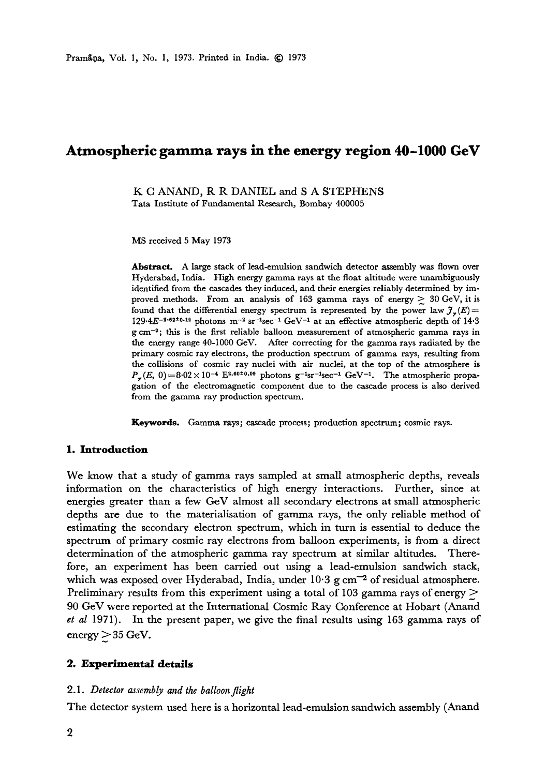# **Atmospheric gamma rays in the energy region 40-1000 GeV**

K C ANAND, R R DANIEL and S A STEPHENS Tata Institute of Fundamental Research, Bombay 400005

MS received 5 May 1973

**Abstract.** A large stack of lead-emulsion sandwich detector assembly was flown over Hyderabad, India. High energy gamma rays at the float altitude were unambiguously identified from the cascades they induced, and their energies reliably determined by improved methods. From an analysis of 163 gamma rays of energy  $\geq 30$  GeV, it is found that the differential energy spectrum is represented by the power law  $\mathcal{J}_{\gamma}(E)=$ 129-4E<sup>-2-62±0-12</sup> photons  $m^{-2}$  sr<sup>-1</sup>sec<sup>-1</sup> GeV<sup>-1</sup> at an effective atmospheric depth of 14.3  $g \, \text{cm}^{-2}$ ; this is the first reliable balloon measurement of atmospheric gamma rays in the energy range 40-1000 GeV. After correcting for the gamma rays radiated by the primary cosmic ray electrons, the production spectrum of gamma rays, resulting from the collisions of cosmic ray nuclei with air nuclei, at the top of the atmosphere is  $P_r(E, 0) = 8.02 \times 10^{-4}$  E<sup>2.60±0.09</sup> photons g<sup>-1</sup>sr<sup>-1</sup>sec<sup>-1</sup> GeV<sup>-1</sup>. The atmospheric propagation of the electromagnetic component due to the cascade process is also derived from the gamma ray production spectrum.

**Keywords. Gamma rays;** cascade process; production spectrum; cosmic rays.

## **1. Introduction**

We know that a study of gamma rays sampled at small atmospheric depths, reveals information on the characteristics of high energy interactions. Further, since at energies greater than a few GeV almost all secondary electrons at small atmospheric depths are due to the materialisation of gamma rays, the only reliable method of estimating the secondary electron spectrum, which in turn is essential to deduce the spectrum of primary cosmic ray electrons from balloon experiments, is from a direct determination of the atmospheric gamma ray spectrum at similar altitudes. Therefore, an experiment has been carried out using a lead-emulsion sandwich stack, which was exposed over Hyderabad, India, under  $10.3$  g  $cm^{-2}$  of residual atmosphere. Preliminary results from this experiment using a total of 103 gamma rays of energy  $\geq$ 90 GeV were reported at the International Cosmic Ray Conference at Hobart (Anand *et al* 1971). In the present paper, we give the final results using 163 gamma rays of  $energy \geq 35 GeV.$ 

#### **2. Experimental details**

#### *2.1. Detector assembly and the balloon flight*

The detector system used here is a horizontal lead-emulsion sandwich assembly (Anand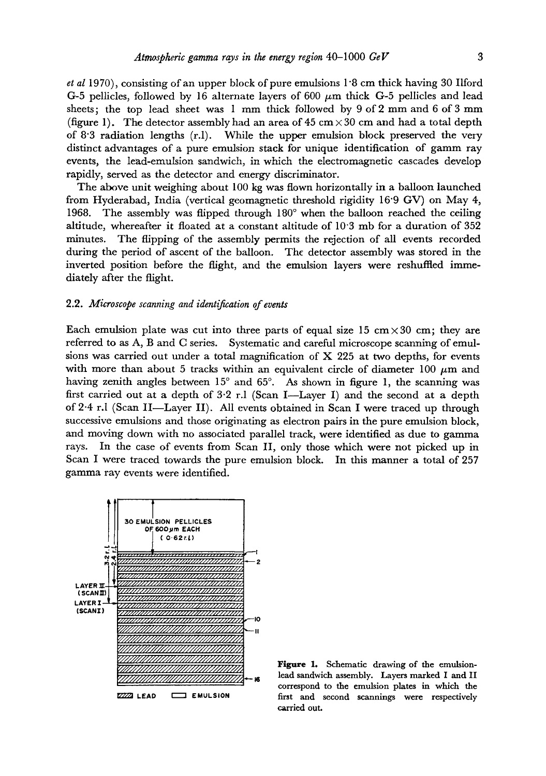*et al* 1970), consisting of an upper block of pure emulsions 1 "8 cm thick having 30 Ilford G-5 pellicles, followed by 16 alternate layers of 600  $\mu$ m thick G-5 pellicles and lead sheets; the top lead sheet was 1 mm thick followed by 9 of 2 mm and 6 of 3 mm (figure 1). The detector assembly had an area of  $45 \text{ cm} \times 30 \text{ cm}$  and had a total depth of 8"3 radiation lengths (r.1). While the upper emulsion block preserved the very distinct advantages of a pure emulsion stack for unique identification of gamm ray events, the lead-emulsion sandwich, in which the electromagnetic cascades develop rapidly, served as the detector and energy discriminator.

The above unit weighing about 100 kg was flown horizontally in a balloon launched from Hyderabad, India (vertical geomagnetic threshold rigidity 16"9 GV) on May 4, 1968. The assembly was flipped through  $180^\circ$  when the balloon reached the ceiling altitude, whereafter it floated at a constant altitude of 10"3 mb for a duration of 352 minutes. The flipping of the assembly permits the rejection of all events recorded during the period of ascent of the balloon. The detector assembly was stored in the inverted position before the flight, and the emulsion layers were reshuffled immediately after the flight.

## 2.2. *Microscope scanning and identification of events*

Each emulsion plate was cut into three parts of equal size 15 cm  $\times$  30 cm; they are referred to as A, B and C series. Systematic and careful microscope scanning of emulsions was carried out under a total magnification of X 225 at two depths, for *events*  with more than about 5 tracks within an equivalent circle of diameter 100  $\mu$ m and having zenith angles between  $15^{\circ}$  and  $65^{\circ}$ . As shown in figure 1, the scanning was first carried out at a depth of  $3.2$  r.l (Scan I--Layer I) and the second at a depth of 2-4 r.l (Scan II--Layer II). All events obtained in Scan I were traced up through successive emulsions and those originating as electron pairs in the pure emulsion block, and moving down with no associated parallel track, were identified as due to gamma rays. In the case of events from Scan II, only those which were not picked up in Scan I were traced towards the pure emulsion block. In this manner a total of 257 gamma ray events were identified.



Figure 1. Schematic drawing of the emulsionlead sandwich assembly. Layers marked I and II correspond to the emulsion plates in which the first and second scannings were respectively carried **out.**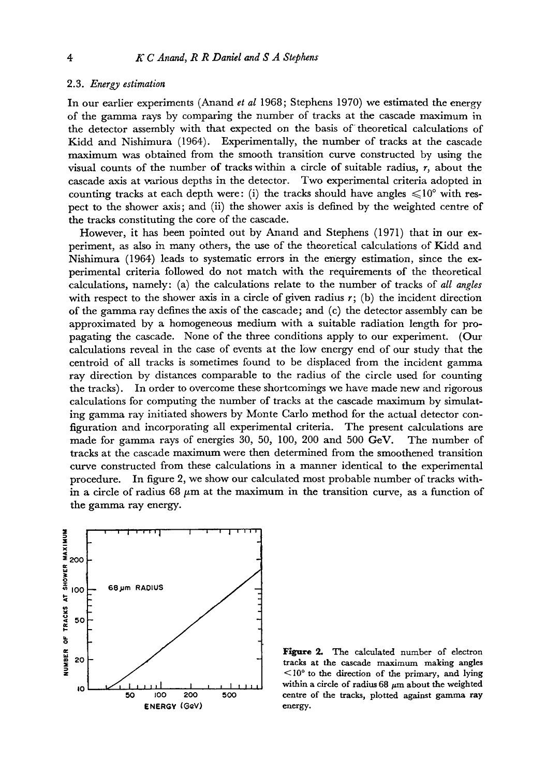## 2.3. *Energy estimation*

In our earlier experiments (Anand *et al* 1968; Stephens 1970) we estimated the energy of the gamma rays by comparing the number of tracks at the cascade maximum in the detector assembly with that expected on the basis of theoretical calculations of Kidd and Nishimura (1964). Experimentally, the number of tracks at the cascade maximum was obtained from the smooth transition curve constructed by using the visual counts of the number of tracks within a circle of suitable radius,  $r$ , about the cascade axis at various depths in the detector. Two experimental criteria adopted in counting tracks at each depth were: (i) the tracks should have angles  $\leq 10^{\circ}$  with respect to the shower axis; and (ii) the shower axis is defined by the weighted centre of the tracks constituting the core of the cascade.

However, it has been pointed out by Anand and Stephens (1971) that in our experiment, as also in many others, the use of the theoretical calculations of Kidd and Nishimura (1964) leads to systematic errors in the energy estimation, since the experimental criteria followed do not match with the requirements of the theoretical calculations, namely: (a) the calculations relate to the number of tracks of *all angles*  with respect to the shower axis in a circle of given radius  $r$ ; (b) the incident direction of the gamma ray defines the axis of the cascade; and (c) the detector assembly can be approximated by a homogeneous medium with a suitable radiation length for propagating the cascade. None of the three conditions apply to our experiment. (Our calculations reveal in the case of events at the 10w energy end of our study that the centroid of all tracks is sometimes found to be displaced from the incident gamma ray direction by distances comparable to the radius of the circle used for counting the tracks). In order to overcome these shortcomings we have made new and rigorous calculations for computing the number of tracks at the cascade maximum by simulating gamma ray initiated showers by Monte Carlo method for the actual detector configuration and incorporating all experimental criteria. The present calculations are made for gamma rays of energies 30, 50, 100, 200 and 500 GeV. The number of tracks at the cascade maximum were then determined from the smoothened transition curve constructed from these calculations in a manner identical to the experimental procedure. In figure 2, we show our calculated most probable number of tracks within a circle of radius 68  $\mu$ m at the maximum in the transition curve, as a function of the gamma ray energy.



Figure 2. The calculated number of electron tracks at the cascade maximum making angles  $\leq 10^{\circ}$  to the direction of the primary, and lying within a circle of radius 68  $\mu$ m about the weighted centre of the tracks, plotted against gamma ray energy.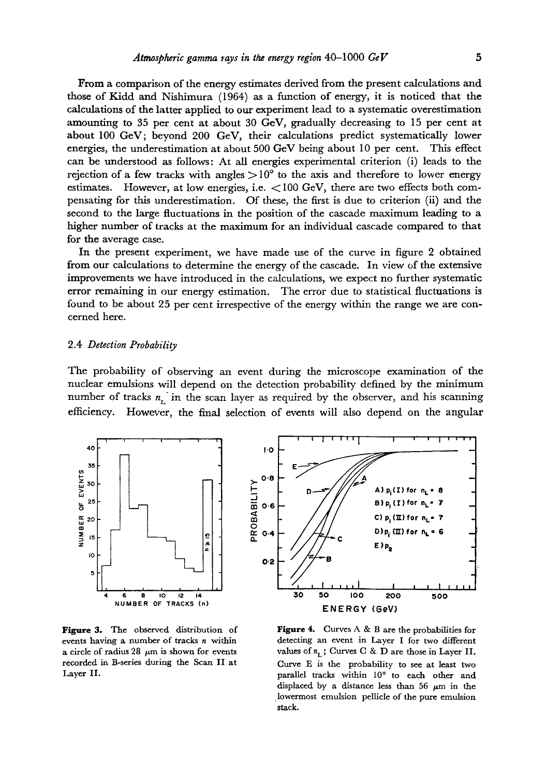From a comparison of the energy estimates derived from the present calculations and those of Kidd and Nishimura (1964) as a function of energy, it is noticed that the calculations of the latter applied to our experiment lead to a systematic overestimation amounting to 35 per cent at about 30 GeV, gradually decreasing to 15 per cent at about 100 GeV; beyond 200 GeV, their calculations predict systematically lower energies, the underestimation at about 500 GeV being about 10 per cent. This effect can be understood as follows: At all energies experimental criterion (i) leads to the rejection of a few tracks with angles  $>10^{\circ}$  to the axis and therefore to lower energy estimates. However, at low energies, i.e.  $\lt$ 100 GeV, there are two effects both compensating for this underestimation. Of these, the first is due to criterion (ii) and the second to the large fluctuations in the position of the cascade maximum leading to a higher number of tracks at the maximum for an individual cascade compared to that for the average case.

In the present experiment, we have made use of the curve in figure 2 obtained from our calculations to determine the energy of the cascade. In view of the extensive improvements we have introduced in the calculations, we expect no further systematic error remaining in our energy estimation. The error due to statistical fluctuations is found to be about 25 per cent irrespective of the energy within the range we are concerned here.

## 2.4 *Detection Probability*

The probability of observing an event during the microscope examination of the nuclear emulsions will depend on the detection probability defined by the minimum number of tracks  $n_L$  in the scan layer as required by the observer, and his scanning efficiency. However, the final selection of events will also depend on the angular





Figure 3. The observed distribution of events having a number of tracks n within a circle of radius 28  $\mu$ m is shown for events recorded in B-series during the Scan II at Layer II.

Figure 4. Curves A & B are the probabilities for detecting an event in Layer I for two different values of  $n_L$ ; Curves C & D are those in Layer II. Curve E is the probability to see at least two parallel tracks within 10° to each other and displaced by a distance less than 56  $\mu$ m in the lowermost emulsion pellicle of the pure emulsion stack.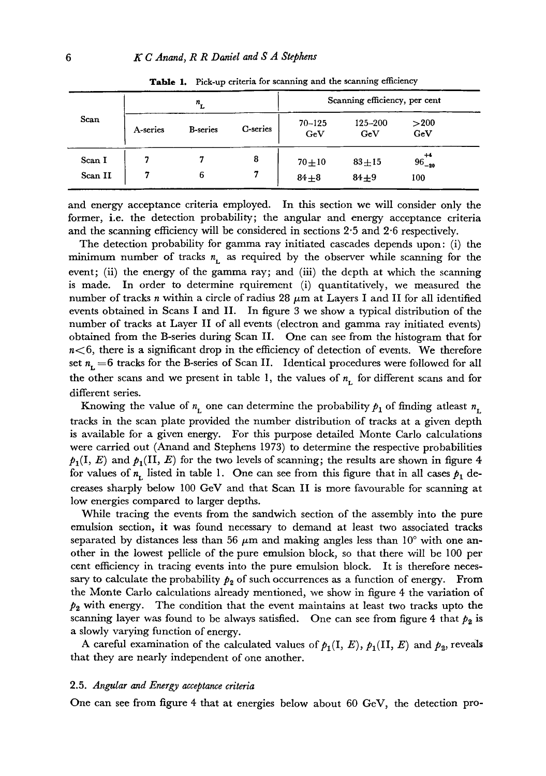| Scan    | $n_{\rm L}$ |                  |          | Scanning efficiency, per cent |                |                 |
|---------|-------------|------------------|----------|-------------------------------|----------------|-----------------|
|         | A-series    | <b>B</b> -series | C-series | $70 - 125$<br>GeV             | 125-200<br>GeV | >200<br>GeV     |
| Scan I  |             |                  | 8        | $70 + 10$                     | $83 + 15$      | $96^{+4}_{-20}$ |
| Scan II |             | 6                |          | $84 + 8$                      | $84 + 9$       | 100             |

Table 1. Pick-up criteria for scanning and the scanning efficiency

and energy acceptance criteria employed. In this section we will consider only the former, i.e. the detection probability; the angular and energy acceptance criteria and the scanning efficiency will be considered in sections 2"5 and 2.6 respectively.

The detection probability for gamma ray initiated cascades depends upon: (i) the minimum number of tracks  $n_L$  as required by the observer while scanning for the event; (ii) the energy of the gamma ray; and (iii) the depth at which the scanning is made. In order to determine rquirement (i) quantitatively, we measured the number of tracks n within a circle of radius 28  $\mu$ m at Layers I and II for all identified events obtained in Scans I and II. In figure 3 we show a typical distribution of the number of tracks at Layer II of all events (electron and gamma ray initiated events) obtained from the B-series during Scan II. One can see from the histogram that for  $n < 6$ , there is a significant drop in the efficiency of detection of events. We therefore set  $n_{\rm t} = 6$  tracks for the B-series of Scan II. Identical procedures were followed for all the other scans and we present in table 1, the values of  $n<sub>L</sub>$  for different scans and for different series.

Knowing the value of  $n_{\rm L}$  one can determine the probability  $p_1$  of finding atleast  $n_{\rm L}$ tracks in the scan plate provided the number distribution of tracks at a given depth is available for a given energy. For this purpose detailed Monte Carlo calculations were carried out (Anand and Stephens 1973) to determine the respective probabilities  $p_1(I, E)$  and  $p_1(II, E)$  for the two levels of scanning; the results are shown in figure 4 for values of  $n_L$  listed in table 1. One can see from this figure that in all cases  $p_1$  decreases sharply below 100 GeV and that Scan II is more favourable for scanning at low energies compared to larger depths.

While tracing the events from the sandwich section of the assembly into the pure emulsion section, it was found necessary to demand at least two associated tracks separated by distances less than 56  $\mu$ m and making angles less than 10° with one another in the lowest pellicle of the pure emulsion block, so that there will be 100 per cent efficiency in tracing events into the pure emulsion block. It is therefore necessary to calculate the probability  $p_2$  of such occurrences as a function of energy. From the Monte Carlo calculations already mentioned, we show in figure 4 the variation of  $p_2$  with energy. The condition that the event maintains at least two tracks upto the scanning layer was found to be always satisfied. One can see from figure 4 that  $p_2$  is a slowly varying function of energy.

A careful examination of the calculated values of  $p_1(\mathrm{I}, \, E)$ ,  $p_1(\mathrm{II}, \, E)$  and  $p_2$ , reveals that they are nearly independent of one another.

## 2.5. *Angular and Energy acceptance criteria*

One can see from figure 4 that at energies below about 60 GeV, the detection pro-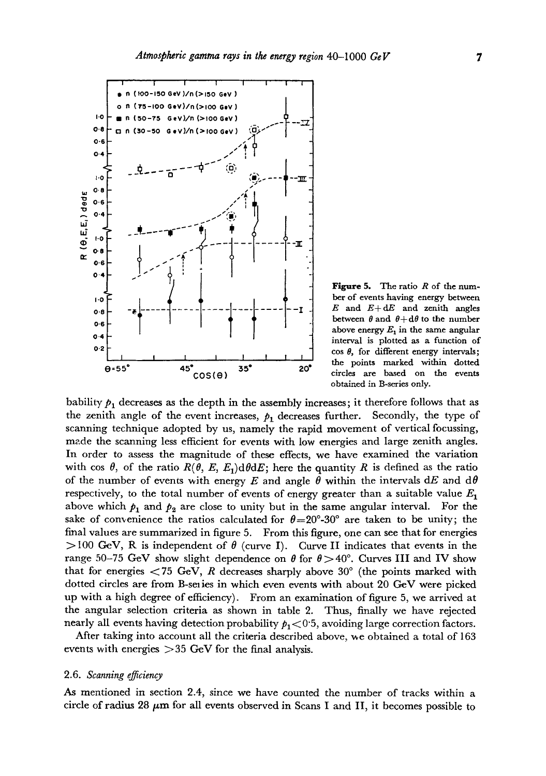

obtained in B-series only. **Figure 5.** The ratio  $R$  of the number of events having energy between  $E$  and  $E+dE$  and zenith angles between  $\theta$  and  $\theta + d\theta$  to the number above energy  $E_1$  in the same angular interval is plotted as a function of  $\cos \theta$ , for different energy intervals; the points marked within dotted

bability  $p_1$  decreases as the depth in the assembly increases; it therefore follows that as the zenith angle of the event increases,  $p_1$  decreases further. Secondly, the type of scanning technique adopted by us, namely the rapid movement of vertical focussing, m2.de the scanning less efficient for events with low energies and large zenith angles. In order to assess the magnitude of these effects, we have examined the variation with cos  $\theta$ , of the ratio  $R(\theta, E, E_1)d\theta dE$ ; here the quantity R is defined as the ratio of the number of events with energy E and angle  $\theta$  within the intervals dE and d $\theta$ respectively, to the total number of events of energy greater than a suitable value  $E_1$ above which  $p_1$  and  $p_2$  are close to unity but in the same angular interval. For the sake of convenience the ratios calculated for  $\theta = 20^{\circ}$ -30° are taken to be unity; the final values are summarized in figure 5. From this figure, one can see that for energies  $>$ 100 GeV, R is independent of  $\theta$  (curve I). Curve II indicates that events in the range 50-75 GeV show slight dependence on  $\theta$  for  $\theta > 40^{\circ}$ . Curves III and IV show that for energies  $\langle 75 \text{ GeV}, R \text{ decreases sharply above } 30^{\circ}$  (the points marked with dotted circles are from B-series in which even events with about 20 GeV were picked up with a high degree of efficiency). From an examination of figure 5, we arrived at the angular selection criteria as shown in table 2. Thus, finally we have rejected nearly all events having detection probability  $p_1 < 0.5$ , avoiding large correction factors.

After taking into account all the criteria described above, me obtained a total of 163 events with energies  $>35$  GeV for the final analysis.

#### 2.6. *Scanning effciency*

As mentioned in section 2.4, since we have counted the number of tracks within a circle of radius 28  $\mu$ m for all events observed in Scans I and II, it becomes possible to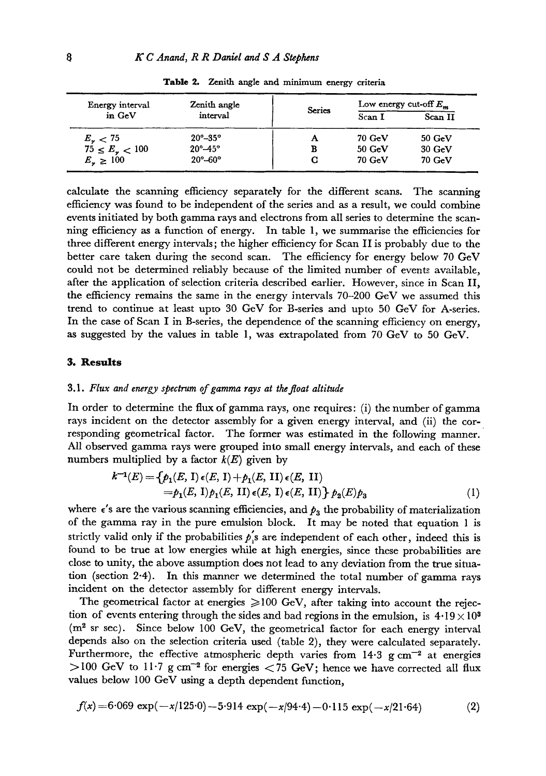| Energy interval        | Zenith angle              | <b>Series</b> | Low energy cut-off $E_{\rm m}$ |                  |
|------------------------|---------------------------|---------------|--------------------------------|------------------|
| in GeV                 | interval                  |               | Scan I                         | Scan II          |
| $E_{\gamma} < 75$      | $20^{\circ} - 35^{\circ}$ | А             | $70 \text{ GeV}$               | $50 \text{ GeV}$ |
| $75 \le E_{\nu} < 100$ | $20^{\circ} - 45^{\circ}$ | в             | $50 \text{ GeV}$               | $30\ GeV$        |
| $E_{\nu} \geq 100$     | $20^{\circ} - 60^{\circ}$ |               | $70 \text{ GeV}$               | $70 \text{ GeV}$ |

**Table** 2. Zenith angle and minimum energy criteria

calculate the scanning efficiency separately for the different scans. The scanning efficiency was found to be independent of the series and as a result, we could combine events initiated by both gamma rays and electrons from all series to determine the scanning efficiency as a function of energy. In table 1, we summarise the efficiencies for three different energy intervals; the higher efficiency for Scan II is probably due to the better care taken during the second scan. The efficiency for energy below 70 GeV could not be determined reliably because of the limited number of events available, after the application of selection criteria described earlier. However, since in Scan II, the efficiency remains the same in the energy intervals 70-200 GeV we assumed this trend to continue at least upto 30 GeV for B-series and upto 50 GeV for A-series. In the case of Scan I in B-series, the dependence of the scanning efficiency on energy, as suggested by the values in table 1, was extrapolated from 70  $GeV$  to 50  $GeV$ .

## **3. Results**

#### 3.1. *Flux and energy spectrum of gamma rays at the float altitude*

In order to determine the flux of gamma rays, one requires: (i) the number of gamma rays incident on the detector assembly for a given energy interval, and (ii) the corresponding geometrical factor. The former was estimated in the following manner. All observed gamma rays were grouped into small energy intervals, and each of these numbers multiplied by a factor  $k(E)$  given by

$$
k^{-1}(E) = \{p_1(E, 1) \epsilon(E, 1) + p_1(E, 1I) \epsilon(E, 1I) \}= p_1(E, 1) p_1(E, 1I) \epsilon(E, 1) \epsilon(E, 1I) \} p_2(E) p_3
$$
(1)

where  $\epsilon'$ s are the various scanning efficiencies, and  $p_a$  the probability of materialization of the gamma ray in the pure emulsion block. It may be noted that equation 1 is strictly valid only if the probabilities  $p'_1s$  are independent of each other, indeed this is found to be true at low energies while at high energies, since these probabilities are close to unity, the above assumption does not lead to any deviation from the true situation (section 2.4). In this manner we determined the total number of gamma rays incident on the detector assembly for different energy intervals.

The geometrical factor at energies  $\geq 100$  GeV, after taking into account the rejection of events entering through the sides and bad regions in the emulsion, is  $4.19 \times 10^3$  $(m<sup>2</sup>$  sr sec). Since below 100 GeV, the geometrical factor for each energy interval depends also on the selection criteria used (table 2), they were calculated separately. Furthermore, the effective atmospheric depth varies from  $14.3 \text{ g cm}^{-2}$  at energies  $>100$  GeV to 11.7 g cm<sup>-2</sup> for energies  $<$  75 GeV; hence we have corrected all flux values below 100 GeV using a depth dependent function,

$$
f(x) = 6.069 \exp(-x/125.0) - 5.914 \exp(-x/94.4) - 0.115 \exp(-x/21.64)
$$
 (2)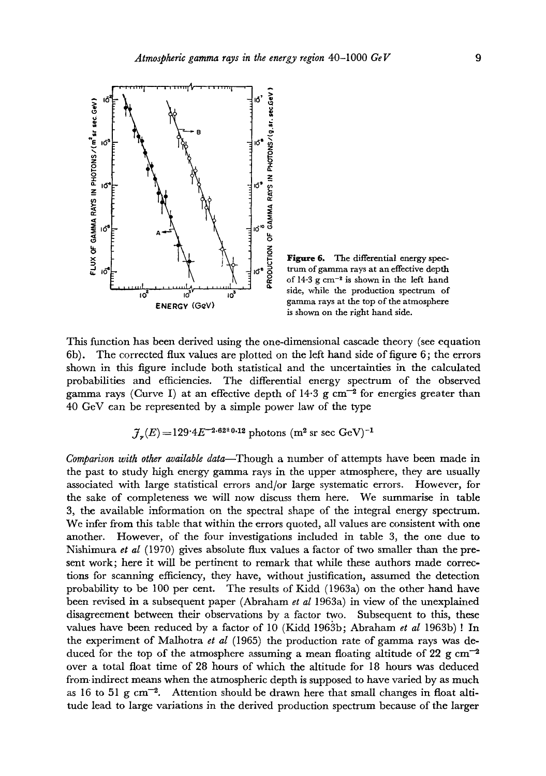

Figure 6. The differential energy spectrum of gamma rays at an effective depth of  $14.3 \text{ g cm}^{-2}$  is shown in the left hand side, while the production spectrum of gamma rays at the top of the atmosphere is shown on the right hand side.

This function has been derived using the one-dimensional cascade theory (see equation 6b). The corrected flux values are plotted on the left hand side of figure 6; the errors shown in this figure include both statistical and the uncertainties in the calculated probabilities and efficiencies. The differential energy spectrum of the observed gamma rays (Curve I) at an effective depth of  $14.3$  g cm<sup>-2</sup> for energies greater than 40 GeV can be represented by a simple power law of the type

$$
\mathcal{J}_{\star}(E) = 129.4 E^{-2.62 \pm 0.12}
$$
 photons (m<sup>2</sup> sr sec GeV)<sup>-1</sup>

*Comparison with other available data*—Though a number of attempts have been made in the past to study high energy gamma rays in the upper atmosphere, they are usually associated with large statistical errors and/or large systematic errors. However, for the sake of completeness we will now discuss them here. We summarise in table 3, the available information on the spectral shape of the integral energy spectrum. We infer from this table that within the errors quoted, all values are consistent with one another. However, of the four investigations included in table 3, the one due to Nishimura *et at* (1970) gives absolute flux values a factor of two smaller than the present work; here it will be pertinent to remark that while these authors made corrections for scanning efficiency, they have, without justification, assumed the detection probability to be 100 per cent. The results of Kidd (1963a) on the other hand have been revised in a subsequent paper (Abraham *et al* 1963a) in view of the unexplained disagreement between their observations by a factor two. Subsequent to this, these values have been reduced by a factor of 10 (Kidd 1963b; Abraham *et al* 1963b) ! In the experiment of Malhotra *et al* (1965) the production rate of gamma rays was deduced for the top of the atmosphere assuming a mean floating altitude of 22 g  $cm^{-2}$ over a total float time of 28 hours of which the altitude for 18 hours was deduced from-indirect means when the atmospheric depth is supposed to have varied by as much as 16 to 51 g  $\rm cm^{-2}$ . Attention should be drawn here that small changes in float altitude lead to large variations in the derived production spectrum because of the larger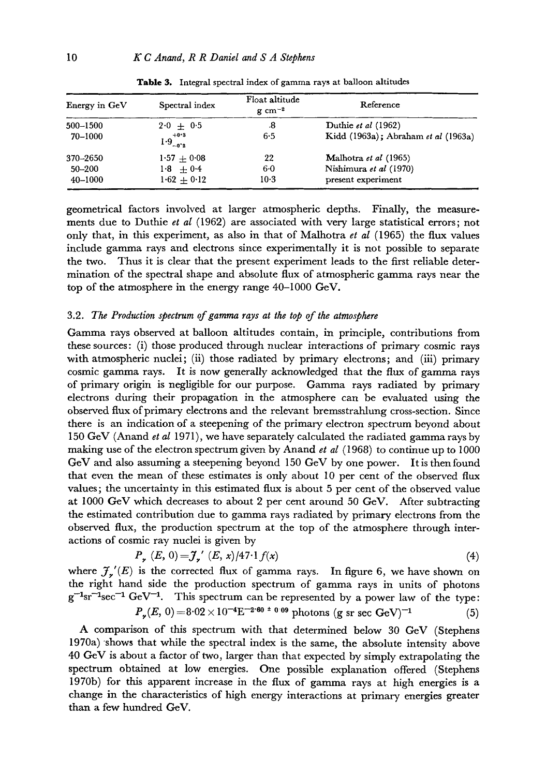| Energy in GeV | Spectral index                | Float altitude<br>$g \text{ cm}^{-2}$ | Reference                           |  |
|---------------|-------------------------------|---------------------------------------|-------------------------------------|--|
| 500-1500      | $2.0 + 0.5$                   | .8                                    | Duthie et al (1962)                 |  |
| 70–1000       | $+0.3$<br>$1.9^{+0.2}_{-0.2}$ | 6-5                                   | Kidd (1963a); Abraham et al (1963a) |  |
| 370-2650      | $1.57 + 0.08$                 | 22                                    | Malhotra et al (1965)               |  |
| 50-200        | $1.8 + 0.4$                   | $6-0$                                 | Nishimura et al (1970)              |  |
| $40 - 1000$   | $1.62 + 0.12$                 | $10-3$                                | present experiment                  |  |

Table 3. Integral spectral index of gamma rays at balloon altitudes

geometrical factors involved at larger atmospheric depths. Finally, the measurements due to Duthie *et al* (1962) are associated with very large statistical errors; not only that, in this experiment, as also in that of Malhotra *et al* (1965) the flux values include gamma rays and electrons since experimentally it is not possible to separate the two. Thus it is clear that the present experiment leads to the first reliable determination of the spectral shape and absolute flux of atmospheric gamma rays near the top of the atmosphere in the energy range 40-1000 GeV.

## 3.2. *The Production spectrum of gamma rays at the top of the atmosphere*

Gamma rays observed at balloon altitudes contain, in principle, contributions from these sources: (i) those produced through nuclear interactions of primary cosmic rays with atmospheric nuclei; (ii) those radiated by primary electrons; and (iii) primary cosmic gamma rays. It is now generally acknowledged that the flux of gamma rays of primary origin is negligible for our purpose. Gamma rays radiated by primary electrons during their propagation in the atmosphere can be evaluated using the observed flux of primary electrons and the relevant bremsstrahlung cross-section. Since there is an indication of a steepening of the primary electron spectrum beyond about 150 GeV (Anand *et al* 1971), we have separately calculated the radiated gamma rays by making use of the electron spectrum given by Anand *et al* (1968) to continue up to 1000 GeV and also assuming a steepening beyond 150 GeV by one power. It is then found that even the mean of these estimates is only about 10 per cent of the observed flux values; the uncertainty in this estimated flux is about 5 per cent of the observed value at 1000 GeV which decreases to about 2 per cent around 50 GeV. After subtracting the estimated contribution due to gamma rays radiated by primary electrons from the observed flux, the production spectrum at the top of the atmosphere through interactions of cosmic ray nuclei is given by

$$
P_{\mathbf{y}}(E, 0) = \tilde{\mathbf{J}}_{\mathbf{y}}'(E, x) / 47.1 f(x)
$$
\n
$$
\tag{4}
$$

where  $f'_r(E)$  is the corrected flux of gamma rays. In figure 6, we have shown on the right hand side the production spectrum of gamma rays in units of photons  $g^{-1}sr^{-1}sec^{-1} GeV^{-1}$ . This spectrum can be represented by a power law of the type:  $P_r(E, 0) = 8.02 \times 10^{-4} E^{-2.60 \pm 0.09}$  photons (g sr sec GeV)<sup>-1</sup>

A comparison of this spectrum with that determined below 30 GeV (Stephens 1970a) shows that while the spectral index is the same, the absolute intensity above 40 GeV is about a factor of two, larger than that expected by simply extrapolating the spectrum obtained at low energies. One possible explanation offered (Stephens 1970b) for this apparent increase in the flux of gamma rays at high energies is a change in the characteristics of high energy interactions at primary energies greater than a few hundred GeV.